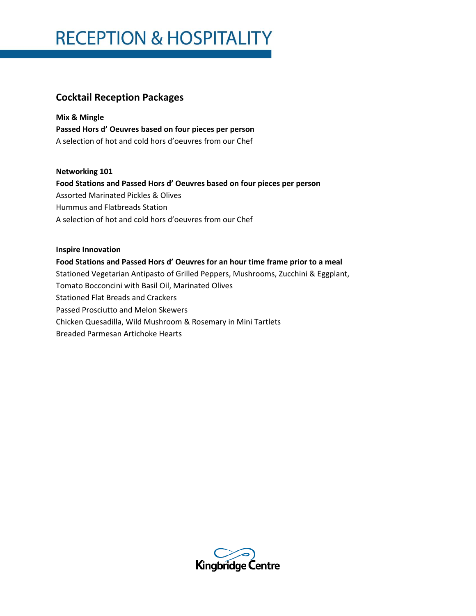### **Cocktail Reception Packages**

**Mix & Mingle Passed Hors d' Oeuvres based on four pieces per person** A selection of hot and cold hors d'oeuvres from our Chef

**Networking 101**

**Food Stations and Passed Hors d' Oeuvres based on four pieces per person** Assorted Marinated Pickles & Olives Hummus and Flatbreads Station A selection of hot and cold hors d'oeuvres from our Chef

### **Inspire Innovation Food Stations and Passed Hors d' Oeuvres for an hour time frame prior to a meal** Stationed Vegetarian Antipasto of Grilled Peppers, Mushrooms, Zucchini & Eggplant, Tomato Bocconcini with Basil Oil, Marinated Olives Stationed Flat Breads and Crackers Passed Prosciutto and Melon Skewers Chicken Quesadilla, Wild Mushroom & Rosemary in Mini Tartlets Breaded Parmesan Artichoke Hearts

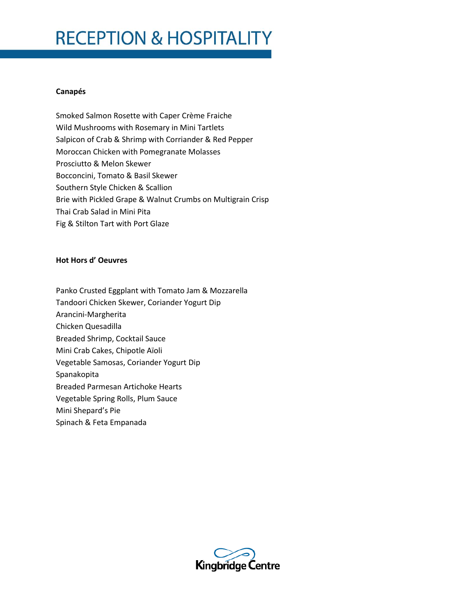# **RECEPTION & HOSPITALITY**

#### **Canapés**

Smoked Salmon Rosette with Caper Crème Fraiche Wild Mushrooms with Rosemary in Mini Tartlets Salpicon of Crab & Shrimp with Corriander & Red Pepper Moroccan Chicken with Pomegranate Molasses Prosciutto & Melon Skewer Bocconcini, Tomato & Basil Skewer Southern Style Chicken & Scallion Brie with Pickled Grape & Walnut Crumbs on Multigrain Crisp Thai Crab Salad in Mini Pita Fig & Stilton Tart with Port Glaze

#### **Hot Hors d' Oeuvres**

- Panko Crusted Eggplant with Tomato Jam & Mozzarella
- Tandoori Chicken Skewer, Coriander Yogurt Dip
- Arancini-Margherita
- Chicken Quesadilla
- Breaded Shrimp, Cocktail Sauce
- Mini Crab Cakes, Chipotle Aïoli
- Vegetable Samosas, Coriander Yogurt Dip
- Spanakopita
- Breaded Parmesan Artichoke Hearts
- Vegetable Spring Rolls, Plum Sauce
- Mini Shepard's Pie
- Spinach & Feta Empanada

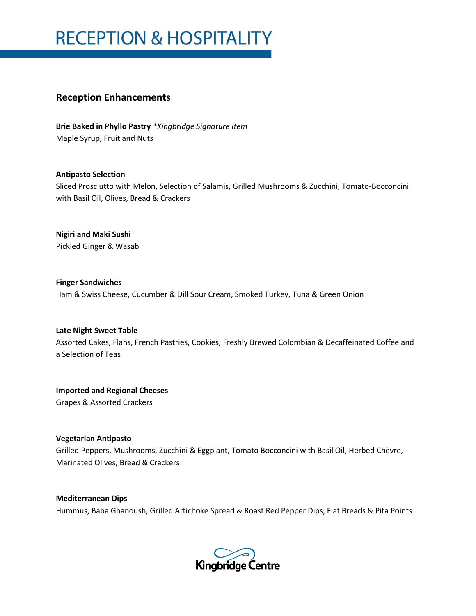# **RECEPTION & HOSPITALITY**

### **Reception Enhancements**

**Brie Baked in Phyllo Pastry** *\*Kingbridge Signature Item* Maple Syrup, Fruit and Nuts

**Antipasto Selection** Sliced Prosciutto with Melon, Selection of Salamis, Grilled Mushrooms & Zucchini, Tomato-Bocconcini with Basil Oil, Olives, Bread & Crackers

**Nigiri and Maki Sushi** Pickled Ginger & Wasabi

**Finger Sandwiches** Ham & Swiss Cheese, Cucumber & Dill Sour Cream, Smoked Turkey, Tuna & Green Onion

**Late Night Sweet Table** Assorted Cakes, Flans, French Pastries, Cookies, Freshly Brewed Colombian & Decaffeinated Coffee and a Selection of Teas

**Imported and Regional Cheeses** Grapes & Assorted Crackers

**Vegetarian Antipasto**

Grilled Peppers, Mushrooms, Zucchini & Eggplant, Tomato Bocconcini with Basil Oil, Herbed Chèvre, Marinated Olives, Bread & Crackers

**Mediterranean Dips** Hummus, Baba Ghanoush, Grilled Artichoke Spread & Roast Red Pepper Dips, Flat Breads & Pita Points

Kingbridge Centre